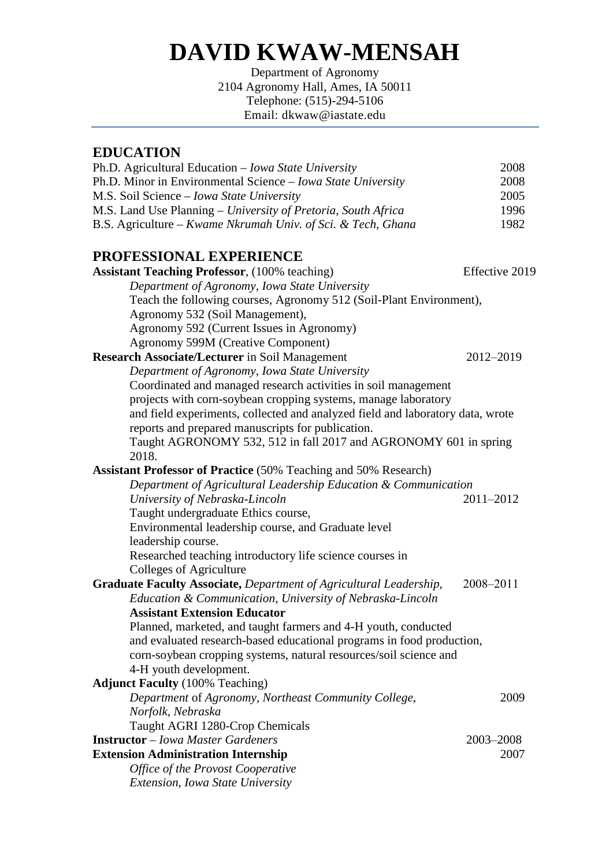# **DAVID KWAW-MENSAH**

Department of Agronomy 2104 Agronomy Hall, Ames, IA 50011 Telephone: (515)-294-5106 Email: dkwaw@iastate.edu

## **EDUCATION**

| Ph.D. Agricultural Education - Iowa State University                           | 2008           |
|--------------------------------------------------------------------------------|----------------|
| Ph.D. Minor in Environmental Science - Iowa State University                   | 2008           |
| M.S. Soil Science - Iowa State University                                      | 2005           |
| M.S. Land Use Planning - University of Pretoria, South Africa                  | 1996           |
| B.S. Agriculture – Kwame Nkrumah Univ. of Sci. & Tech, Ghana                   | 1982           |
| PROFESSIONAL EXPERIENCE                                                        |                |
| <b>Assistant Teaching Professor</b> , (100% teaching)                          | Effective 2019 |
| Department of Agronomy, Iowa State University                                  |                |
| Teach the following courses, Agronomy 512 (Soil-Plant Environment),            |                |
| Agronomy 532 (Soil Management),                                                |                |
| Agronomy 592 (Current Issues in Agronomy)                                      |                |
| <b>Agronomy 599M (Creative Component)</b>                                      |                |
| Research Associate/Lecturer in Soil Management                                 | 2012-2019      |
| Department of Agronomy, Iowa State University                                  |                |
| Coordinated and managed research activities in soil management                 |                |
| projects with corn-soybean cropping systems, manage laboratory                 |                |
| and field experiments, collected and analyzed field and laboratory data, wrote |                |
| reports and prepared manuscripts for publication.                              |                |
| Taught AGRONOMY 532, 512 in fall 2017 and AGRONOMY 601 in spring               |                |
| 2018.                                                                          |                |
| <b>Assistant Professor of Practice</b> (50% Teaching and 50% Research)         |                |
| Department of Agricultural Leadership Education & Communication                |                |
| University of Nebraska-Lincoln                                                 | 2011-2012      |
| Taught undergraduate Ethics course,                                            |                |
| Environmental leadership course, and Graduate level                            |                |
| leadership course.                                                             |                |
| Researched teaching introductory life science courses in                       |                |
| Colleges of Agriculture                                                        |                |
| Graduate Faculty Associate, Department of Agricultural Leadership,             | 2008-2011      |
| Education & Communication, University of Nebraska-Lincoln                      |                |
| <b>Assistant Extension Educator</b>                                            |                |
| Planned, marketed, and taught farmers and 4-H youth, conducted                 |                |
| and evaluated research-based educational programs in food production,          |                |
| corn-soybean cropping systems, natural resources/soil science and              |                |
| 4-H youth development.                                                         |                |
| <b>Adjunct Faculty</b> (100% Teaching)                                         |                |
| Department of Agronomy, Northeast Community College,                           | 2009           |
| Norfolk, Nebraska                                                              |                |
| Taught AGRI 1280-Crop Chemicals                                                |                |
| <b>Instructor</b> – Iowa Master Gardeners                                      | 2003-2008      |
| <b>Extension Administration Internship</b>                                     | 2007           |
| Office of the Provost Cooperative                                              |                |
| <b>Extension, Iowa State University</b>                                        |                |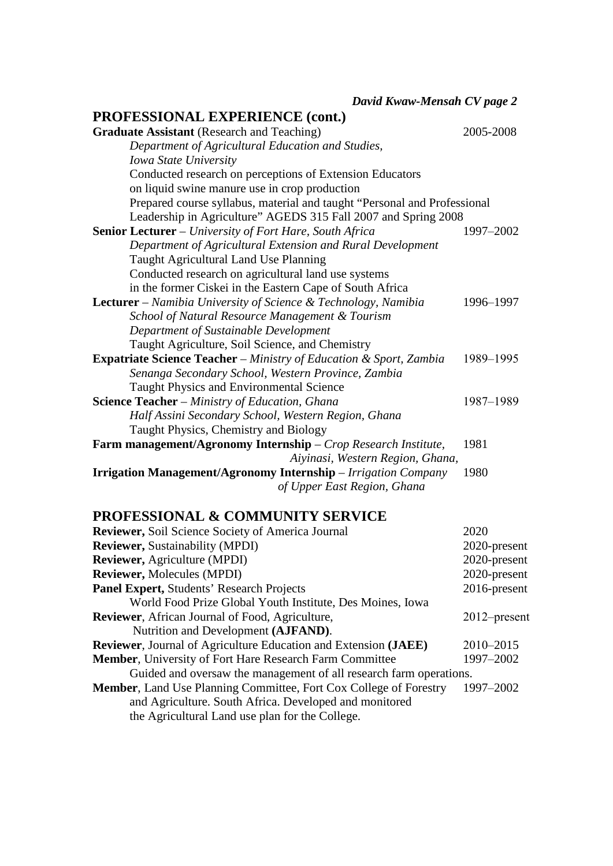*David Kwaw-Mensah CV page 2*

# **PROFESSIONAL EXPERIENCE (cont.)**

| <b>Graduate Assistant</b> (Research and Teaching)                         | 2005-2008 |
|---------------------------------------------------------------------------|-----------|
| Department of Agricultural Education and Studies,                         |           |
| Iowa State University                                                     |           |
| Conducted research on perceptions of Extension Educators                  |           |
| on liquid swine manure use in crop production                             |           |
| Prepared course syllabus, material and taught "Personal and Professional  |           |
| Leadership in Agriculture" AGEDS 315 Fall 2007 and Spring 2008            |           |
| <b>Senior Lecturer</b> – University of Fort Hare, South Africa            | 1997-2002 |
| Department of Agricultural Extension and Rural Development                |           |
| Taught Agricultural Land Use Planning                                     |           |
| Conducted research on agricultural land use systems                       |           |
| in the former Ciskei in the Eastern Cape of South Africa                  |           |
| <b>Lecturer</b> – Namibia University of Science & Technology, Namibia     | 1996-1997 |
| School of Natural Resource Management & Tourism                           |           |
| Department of Sustainable Development                                     |           |
| Taught Agriculture, Soil Science, and Chemistry                           |           |
| <b>Expatriate Science Teacher</b> – Ministry of Education & Sport, Zambia | 1989-1995 |
| Senanga Secondary School, Western Province, Zambia                        |           |
| <b>Taught Physics and Environmental Science</b>                           |           |
| Science Teacher - Ministry of Education, Ghana                            | 1987-1989 |
| Half Assini Secondary School, Western Region, Ghana                       |           |
| Taught Physics, Chemistry and Biology                                     |           |
| Farm management/Agronomy Internship - Crop Research Institute,            | 1981      |
| Aiyinasi, Western Region, Ghana,                                          |           |
| <b>Irrigation Management/Agronomy Internship</b> – Irrigation Company     | 1980      |
| of Upper East Region, Ghana                                               |           |

# **PROFESSIONAL & COMMUNITY SERVICE**

| <b>Reviewer, Soil Science Society of America Journal</b>               | 2020            |
|------------------------------------------------------------------------|-----------------|
| <b>Reviewer, Sustainability (MPDI)</b>                                 | 2020-present    |
| <b>Reviewer, Agriculture (MPDI)</b>                                    | 2020-present    |
| <b>Reviewer, Molecules (MPDI)</b>                                      | 2020-present    |
| <b>Panel Expert, Students' Research Projects</b>                       | $2016$ -present |
| World Food Prize Global Youth Institute, Des Moines, Iowa              |                 |
| <b>Reviewer, African Journal of Food, Agriculture,</b>                 | $2012$ -present |
| Nutrition and Development (AJFAND).                                    |                 |
| <b>Reviewer, Journal of Agriculture Education and Extension (JAEE)</b> | 2010-2015       |
| <b>Member, University of Fort Hare Research Farm Committee</b>         | 1997-2002       |
| Guided and oversaw the management of all research farm operations.     |                 |
| Member, Land Use Planning Committee, Fort Cox College of Forestry      | 1997-2002       |
| and Agriculture. South Africa. Developed and monitored                 |                 |
| the Agricultural Land use plan for the College.                        |                 |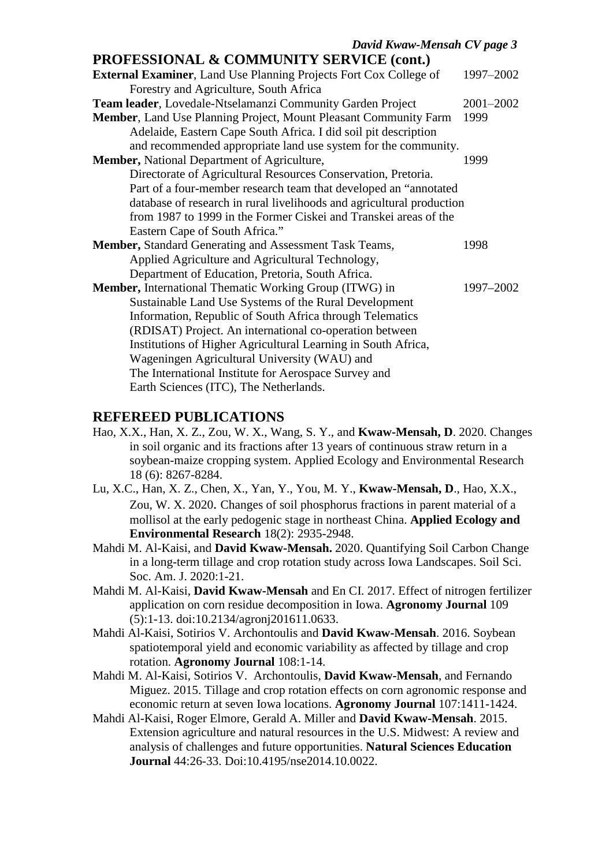#### **PROFESSIONAL & COMMUNITY SERVICE (cont.)**

| External Examiner, Land Use Planning Projects Fort Cox College of       | 1997-2002 |
|-------------------------------------------------------------------------|-----------|
| Forestry and Agriculture, South Africa                                  |           |
| Team leader, Lovedale-Ntselamanzi Community Garden Project              | 2001-2002 |
| <b>Member, Land Use Planning Project, Mount Pleasant Community Farm</b> | 1999      |
| Adelaide, Eastern Cape South Africa. I did soil pit description         |           |
| and recommended appropriate land use system for the community.          |           |
| Member, National Department of Agriculture,                             | 1999      |
| Directorate of Agricultural Resources Conservation, Pretoria.           |           |
| Part of a four-member research team that developed an "annotated"       |           |
| database of research in rural livelihoods and agricultural production   |           |
| from 1987 to 1999 in the Former Ciskei and Transkei areas of the        |           |
| Eastern Cape of South Africa."                                          |           |
| <b>Member, Standard Generating and Assessment Task Teams,</b>           | 1998      |
| Applied Agriculture and Agricultural Technology,                        |           |
| Department of Education, Pretoria, South Africa.                        |           |
| <b>Member, International Thematic Working Group (ITWG) in</b>           | 1997-2002 |
| Sustainable Land Use Systems of the Rural Development                   |           |
| Information, Republic of South Africa through Telematics                |           |
| (RDISAT) Project. An international co-operation between                 |           |
| Institutions of Higher Agricultural Learning in South Africa,           |           |
| Wageningen Agricultural University (WAU) and                            |           |
| The International Institute for Aerospace Survey and                    |           |
| Earth Sciences (ITC), The Netherlands.                                  |           |

#### **REFEREED PUBLICATIONS**

- Hao, X.X., Han, X. Z., Zou, W. X., Wang, S. Y., and **Kwaw-Mensah, D**. 2020. Changes in soil organic and its fractions after 13 years of continuous straw return in a soybean-maize cropping system. Applied Ecology and Environmental Research 18 (6): 8267-8284.
- Lu, X.C., Han, X. Z., Chen, X., Yan, Y., You, M. Y., **Kwaw-Mensah, D**., Hao, X.X., Zou, W. X. 2020. Changes of soil phosphorus fractions in parent material of a mollisol at the early pedogenic stage in northeast China. **Applied Ecology and Environmental Research** 18(2): 2935-2948.
- Mahdi M. Al-Kaisi, and **David Kwaw-Mensah.** 2020. Quantifying Soil Carbon Change in a long-term tillage and crop rotation study across Iowa Landscapes. Soil Sci. Soc. Am. J. 2020:1-21.
- Mahdi M. Al-Kaisi, **David Kwaw-Mensah** and En CI. 2017. Effect of nitrogen fertilizer application on corn residue decomposition in Iowa. **Agronomy Journal** 109 (5):1-13. doi:10.2134/agronj201611.0633.
- Mahdi Al-Kaisi, Sotirios V. Archontoulis and **David Kwaw-Mensah**. 2016. Soybean spatiotemporal yield and economic variability as affected by tillage and crop rotation. **Agronomy Journal** 108:1-14.
- Mahdi M. Al-Kaisi, Sotirios V. Archontoulis, **David Kwaw-Mensah**, and Fernando Miguez. 2015. Tillage and crop rotation effects on corn agronomic response and economic return at seven Iowa locations. **Agronomy Journal** 107:1411-1424.
- Mahdi Al-Kaisi, Roger Elmore, Gerald A. Miller and **David Kwaw-Mensah**. 2015. Extension agriculture and natural resources in the U.S. Midwest: A review and analysis of challenges and future opportunities. **Natural Sciences Education Journal** 44:26-33. Doi:10.4195/nse2014.10.0022.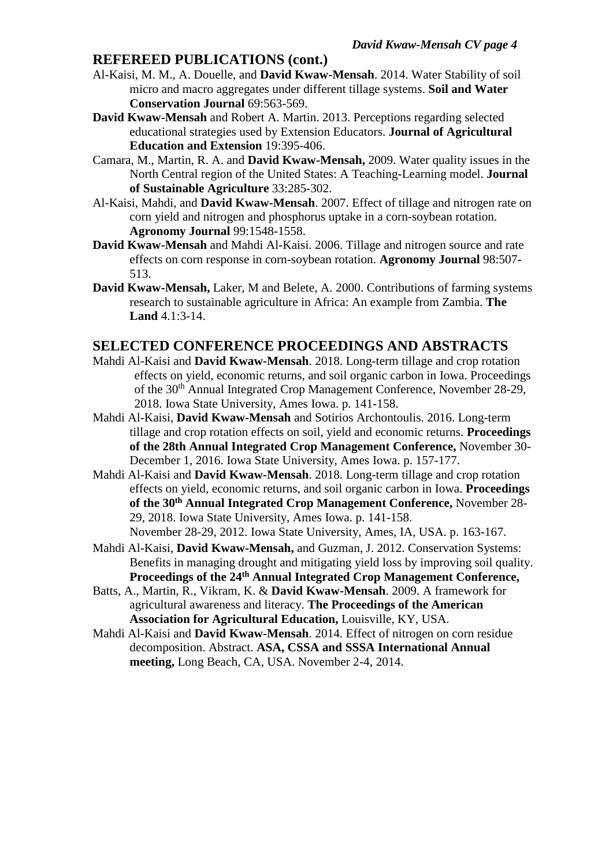#### **REFEREED PUBLICATIONS (cont.)**

- Al-Kaisi, M. M., A. Douelle, and **David Kwaw-Mensah**. 2014. Water Stability of soil micro and macro aggregates under different tillage systems. **Soil and Water Conservation Journal** 69:563-569.
- **David Kwaw-Mensah** and Robert A. Martin. 2013. Perceptions regarding selected educational strategies used by Extension Educators. **Journal of Agricultural Education and Extension** 19:395-406.
- Camara, M., Martin, R. A. and **David Kwaw-Mensah,** 2009. Water quality issues in the North Central region of the United States: A Teaching-Learning model. **Journal of Sustainable Agriculture** 33:285-302.
- Al-Kaisi, Mahdi, and **David Kwaw-Mensah**. 2007. Effect of tillage and nitrogen rate on corn yield and nitrogen and phosphorus uptake in a corn-soybean rotation. **Agronomy Journal** 99:1548-1558.
- **David Kwaw-Mensah** and Mahdi Al-Kaisi. 2006. Tillage and nitrogen source and rate effects on corn response in corn-soybean rotation. **Agronomy Journal** 98:507- 513.
- **David Kwaw-Mensah,** Laker, M and Belete, A. 2000. Contributions of farming systems research to sustainable agriculture in Africa: An example from Zambia. **The Land** 4.1:3-14.

#### **SELECTED CONFERENCE PROCEEDINGS AND ABSTRACTS**

- Mahdi Al-Kaisi and **David Kwaw-Mensah**. 2018. Long-term tillage and crop rotation effects on yield, economic returns, and soil organic carbon in Iowa. Proceedings of the 30<sup>th</sup> Annual Integrated Crop Management Conference, November 28-29, 2018. Iowa State University, Ames Iowa. p. 141-158.
- Mahdi Al-Kaisi, **David Kwaw-Mensah** and Sotirios Archontoulis. 2016. Long-term tillage and crop rotation effects on soil, yield and economic returns. **Proceedings of the 28th Annual Integrated Crop Management Conference,** November 30- December 1, 2016. Iowa State University, Ames Iowa. p. 157-177.
- Mahdi Al-Kaisi and **David Kwaw-Mensah**. 2018. Long-term tillage and crop rotation effects on yield, economic returns, and soil organic carbon in Iowa. **Proceedings of the 30th Annual Integrated Crop Management Conference,** November 28- 29, 2018. Iowa State University, Ames Iowa. p. 141-158. November 28-29, 2012. Iowa State University, Ames, IA, USA. p. 163-167.
- Mahdi Al-Kaisi, **David Kwaw-Mensah,** and Guzman, J. 2012. Conservation Systems: Benefits in managing drought and mitigating yield loss by improving soil quality. **Proceedings of the 24th Annual Integrated Crop Management Conference,**
- Batts, A., Martin, R., Vikram, K. & **David Kwaw-Mensah**. 2009. A framework for agricultural awareness and literacy. **The Proceedings of the American Association for Agricultural Education,** Louisville, KY, USA.
- Mahdi Al-Kaisi and **David Kwaw-Mensah**. 2014. Effect of nitrogen on corn residue decomposition. Abstract. **ASA, CSSA and SSSA International Annual meeting,** Long Beach, CA, USA. November 2-4, 2014.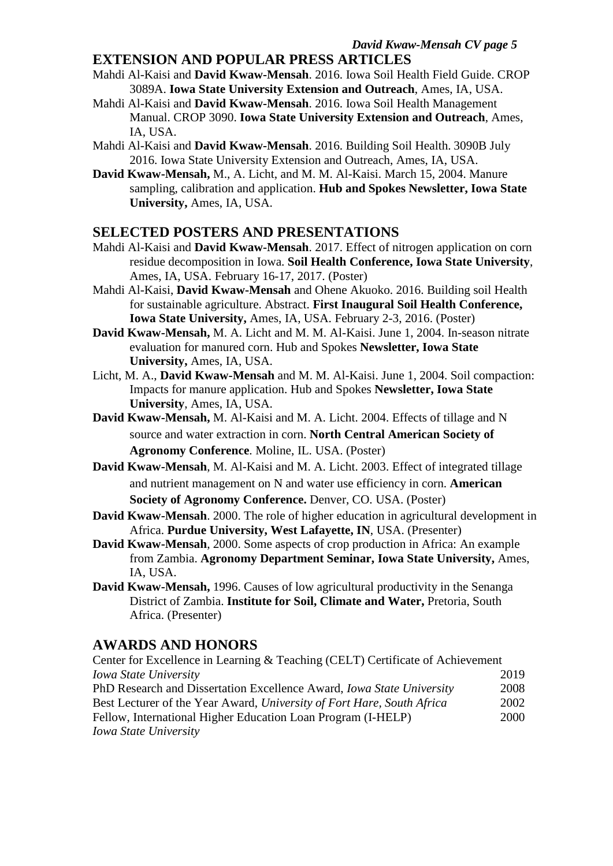#### **EXTENSION AND POPULAR PRESS ARTICLES**

- Mahdi Al-Kaisi and **David Kwaw-Mensah**. 2016. Iowa Soil Health Field Guide. CROP 3089A. **Iowa State University Extension and Outreach**, Ames, IA, USA.
- Mahdi Al-Kaisi and **David Kwaw-Mensah**. 2016. Iowa Soil Health Management Manual. CROP 3090. **Iowa State University Extension and Outreach**, Ames, IA, USA.
- Mahdi Al-Kaisi and **David Kwaw-Mensah**. 2016. Building Soil Health. 3090B July 2016. Iowa State University Extension and Outreach, Ames, IA, USA.
- **David Kwaw-Mensah,** M., A. Licht, and M. M. Al-Kaisi. March 15, 2004. Manure sampling, calibration and application. **Hub and Spokes Newsletter, Iowa State University,** Ames, IA, USA.

#### **SELECTED POSTERS AND PRESENTATIONS**

- Mahdi Al-Kaisi and **David Kwaw-Mensah**. 2017. Effect of nitrogen application on corn residue decomposition in Iowa. **Soil Health Conference, Iowa State University**, Ames, IA, USA. February 16-17, 2017. (Poster)
- Mahdi Al-Kaisi, **David Kwaw-Mensah** and Ohene Akuoko. 2016. Building soil Health for sustainable agriculture. Abstract. **First Inaugural Soil Health Conference, Iowa State University,** Ames, IA, USA. February 2-3, 2016. (Poster)
- **David Kwaw-Mensah,** M. A. Licht and M. M. Al-Kaisi. June 1, 2004. In-season nitrate evaluation for manured corn. Hub and Spokes **Newsletter, Iowa State University,** Ames, IA, USA.
- Licht, M. A., **David Kwaw-Mensah** and M. M. Al-Kaisi. June 1, 2004. Soil compaction: Impacts for manure application. Hub and Spokes **Newsletter, Iowa State University**, Ames, IA, USA.
- **David Kwaw-Mensah,** M. Al-Kaisi and M. A. Licht. 2004. Effects of tillage and N source and water extraction in corn. **North Central American Society of Agronomy Conference**. Moline, IL. USA. (Poster)
- **David Kwaw-Mensah**, M. Al-Kaisi and M. A. Licht. 2003. Effect of integrated tillage and nutrient management on N and water use efficiency in corn. **American Society of Agronomy Conference.** Denver, CO. USA. (Poster)
- **David Kwaw-Mensah**. 2000. The role of higher education in agricultural development in Africa. **Purdue University, West Lafayette, IN**, USA. (Presenter)
- **David Kwaw-Mensah**, 2000. Some aspects of crop production in Africa: An example from Zambia. **Agronomy Department Seminar, Iowa State University,** Ames, IA, USA.
- **David Kwaw-Mensah,** 1996. Causes of low agricultural productivity in the Senanga District of Zambia. **Institute for Soil, Climate and Water,** Pretoria, South Africa. (Presenter)

#### **AWARDS AND HONORS**

| Center for Excellence in Learning & Teaching (CELT) Certificate of Achievement |      |
|--------------------------------------------------------------------------------|------|
| Iowa State University                                                          | 2019 |
| PhD Research and Dissertation Excellence Award, <i>Iowa State University</i>   | 2008 |
| Best Lecturer of the Year Award, University of Fort Hare, South Africa         | 2002 |
| Fellow, International Higher Education Loan Program (I-HELP)                   | 2000 |
| Iowa State University                                                          |      |